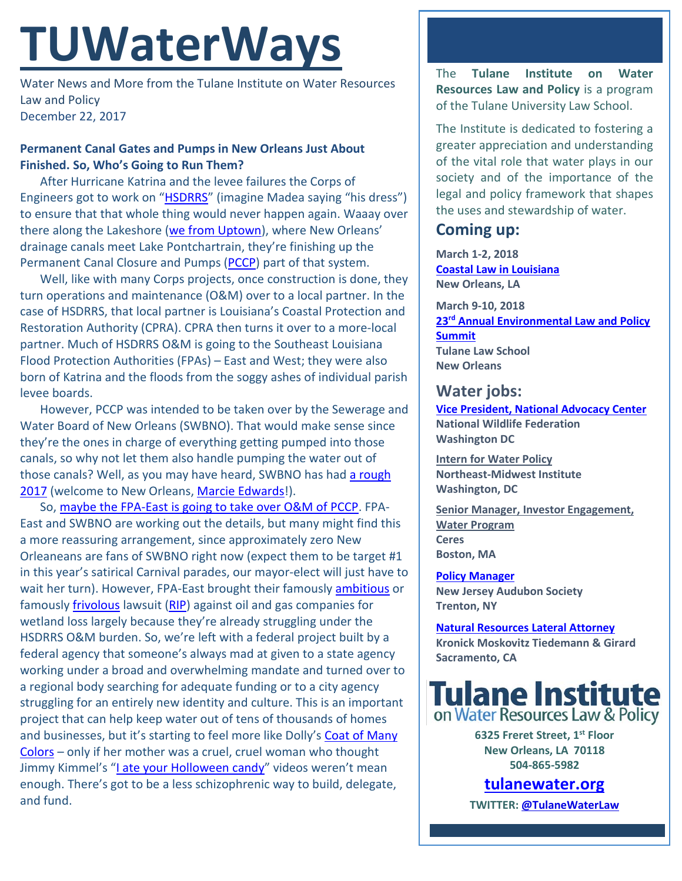# **TUWaterWays**

Water News and More from the Tulane Institute on Water Resources Law and Policy December 22, 2017

#### **Permanent Canal Gates and Pumps in New Orleans Just About Finished. So, Who's Going to Run Them?**

After Hurricane Katrina and the levee failures the Corps of Engineers got to work on ["HSDRRS"](http://www.mvn.usace.army.mil/Missions/HSDRRS/) (imagine Madea saying "his dress") to ensure that that whole thing would never happen again. Waaay over there along the Lakeshore [\(we from Uptown\)](https://youtu.be/dqT1GTliAKg?t=5m42s), where New Orleans' drainage canals meet Lake Pontchartrain, they're finishing up the Permanent Canal Closure and Pumps [\(PCCP\)](http://www.mvn.usace.army.mil/Missions/HSDRRS/PCCP/) part of that system.

Well, like with many Corps projects, once construction is done, they turn operations and maintenance (O&M) over to a local partner. In the case of HSDRRS, that local partner is Louisiana's Coastal Protection and Restoration Authority (CPRA). CPRA then turns it over to a more-local partner. Much of HSDRRS O&M is going to the Southeast Louisiana Flood Protection Authorities (FPAs) – East and West; they were also born of Katrina and the floods from the soggy ashes of individual parish levee boards.

However, PCCP was intended to be taken over by the Sewerage and Water Board of New Orleans (SWBNO). That would make sense since they're the ones in charge of everything getting pumped into those canals, so why not let them also handle pumping the water out of those canals? Well, as you may have heard, SWBNO has had a rough [2017](https://www.google.com/search?q=new+orleans+sewerage+%26+water+board+disaster&source=lnt&tbs=qdr:y&sa=X&ved=0ahUKEwjvhPmrh57YAhUnyoMKHepzAmAQpwUIIQ&biw=1680&bih=919) (welcome to New Orleans, [Marcie Edwards!](http://www.nola.com/politics/index.ssf/2017/12/sewerage_and_water_board_hires.html)).

So, [maybe the FPA-East is going to take over O&M of PCCP.](http://www.nola.com/environment/index.ssf/2017/11/levee_authority_to_operate_per.html#incart_river_index) FPA-East and SWBNO are working out the details, but many might find this a more reassuring arrangement, since approximately zero New Orleaneans are fans of SWBNO right now (expect them to be target #1 in this year's satirical Carnival parades, our mayor-elect will just have to wait her turn). However, FPA-East brought their famously [ambitious](https://www.nytimes.com/interactive/2014/10/02/magazine/mag-oil-lawsuit.html?_r=0) or famously [frivolous](http://www.latimes.com/nation/la-na-louisiana-lawsuit-jindal-20140606-story.html) lawsuit [\(RIP\)](http://wwno.org/post/supreme-court-kills-levee-boards-lawsuit-against-oil-and-gas-companies) against oil and gas companies for wetland loss largely because they're already struggling under the HSDRRS O&M burden. So, we're left with a federal project built by a federal agency that someone's always mad at given to a state agency working under a broad and overwhelming mandate and turned over to a regional body searching for adequate funding or to a city agency struggling for an entirely new identity and culture. This is an important project that can help keep water out of tens of thousands of homes and businesses, but it's starting to feel more like Dolly's Coat of Many [Colors](https://www.youtube.com/watch?v=w_-YbWHs6DE) - only if her mother was a cruel, cruel woman who thought Jimmy Kimmel's ["I ate your Holloween candy"](https://www.youtube.com/watch?v=1NDkVx9AzSY) videos weren't mean enough. There's got to be a less schizophrenic way to build, delegate, and fund.

The **Tulane Institute on Water Resources Law and Policy** is a program of the Tulane University Law School.

The Institute is dedicated to fostering a greater appreciation and understanding of the vital role that water plays in our society and of the importance of the legal and policy framework that shapes the uses and stewardship of water.

## **Coming up:**

**March 1-2, 2018 [Coastal Law in Louisiana](https://www.theseminargroup.net/seminardetl.aspx?id=18.ShrnO) New Orleans, LA**

**March 9-10, 2018 23rd [Annual Environmental Law and Policy](https://tulaneenvironmentallawsummit.com/)  [Summit](https://tulaneenvironmentallawsummit.com/) Tulane Law School New Orleans**

## **Water jobs:**

**[Vice President, National Advocacy Center](https://nwf.applicantpro.com/jobs/675797.html) [National Wildlife Federation](https://nwf.applicantpro.com/jobs/675797.html) Washington DC**

**[Intern for Water Policy](http://www.nemw.org/intern-water-policy/) Northeast-Midwest Institute Washington, DC**

**[Senior Manager, Investor Engagement,](https://www.ceres.org/about-us/career-opportunities?gnk=job&gni=8a7880665e74ae39015e77485cb36c03)  [Water Program](https://www.ceres.org/about-us/career-opportunities?gnk=job&gni=8a7880665e74ae39015e77485cb36c03) Ceres Boston, MA**

**[Policy Manager](https://www.joshswaterjobs.com/jobs/5909) New Jersey Audubon Society Trenton, NY**

**[Natural Resources Lateral Attorney](https://www.indeed.com/cmp/Kronick-Moskovitz-Tiedemann-&-Girard/jobs/Natural-Resource-Lateral-Attorney-8138e83962aee7dd?q=%22water%20law%22) Kronick Moskovitz Tiedemann & Girard Sacramento, CA**



**6325 Freret Street, 1st Floor New Orleans, LA 70118 504-865-5982** 

## **tulanewater.org**

**TWITTER: [@TulaneWaterLaw](http://www.twitter.com/TulaneWaterLaw)**